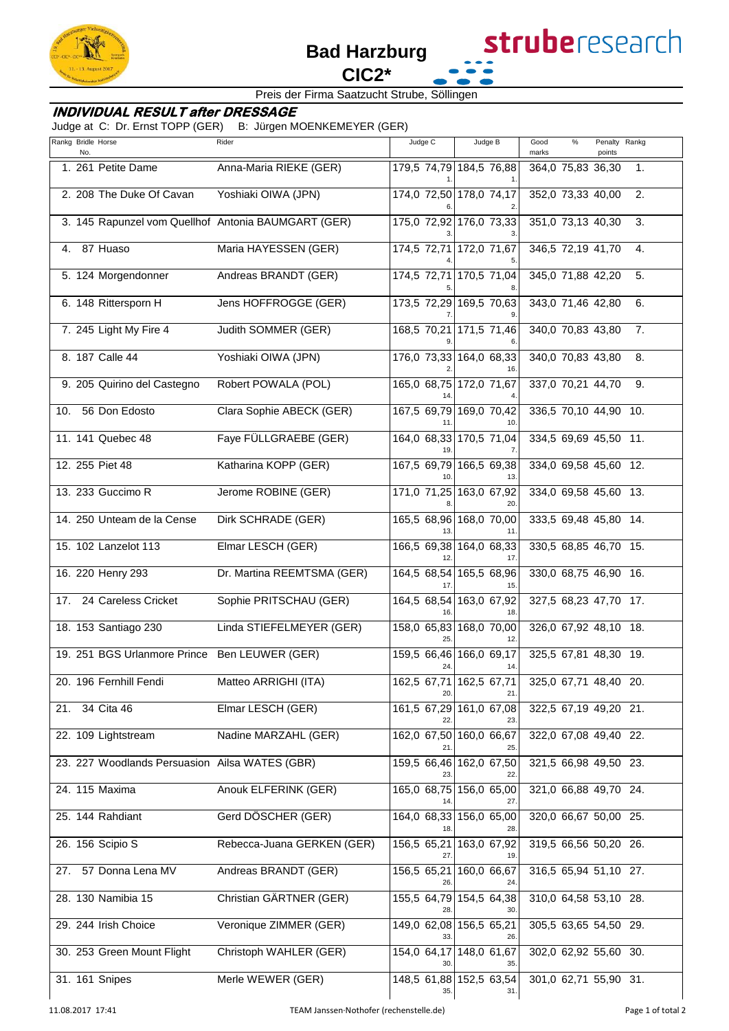

## Preis der Firma Saatzucht Strube, Söllingen

## **INDIVIDUAL RESULT after DRESSAGE**

Judge at C: Dr. Ernst TOPP (GER) B: Jürgen MOENKEMEYER (GER)

| Rankg Bridle Horse<br>No.                           | Rider                      | Judge C           | Judge B                        | $\%$<br>Penalty Rankg<br>Good<br>marks<br>points |
|-----------------------------------------------------|----------------------------|-------------------|--------------------------------|--------------------------------------------------|
| 1. 261 Petite Dame                                  | Anna-Maria RIEKE (GER)     |                   | 179,5 74,79 184,5 76,88        | 364,0 75,83 36,30<br>1.                          |
| 2. 208 The Duke Of Cavan                            | Yoshiaki OIWA (JPN)        |                   | 174,0 72,50 178,0 74,17        | 352,0 73,33 40,00<br>2.                          |
| 3. 145 Rapunzel vom Quellhof Antonia BAUMGART (GER) |                            |                   | 175,0 72,92 176,0 73,33        | 351,0 73,13 40,30<br>3.                          |
| 4. 87 Huaso                                         | Maria HAYESSEN (GER)       |                   | 174,5 72,71 172,0 71,67        | 346,5 72,19 41,70<br>4.                          |
| 5. 124 Morgendonner                                 | Andreas BRANDT (GER)       | 174,5 72,71       | 170,5 71,04                    | 345,0 71,88 42,20<br>5.                          |
| 6. 148 Rittersporn H                                | Jens HOFFROGGE (GER)       |                   | 173,5 72,29 169,5 70,63        | 343,0 71,46 42,80<br>6.                          |
| 7. 245 Light My Fire 4                              | Judith SOMMER (GER)        |                   | 168,5 70,21 171,5 71,46        | 340,0 70,83 43,80<br>7.                          |
| 8. 187 Calle 44                                     | Yoshiaki OIWA (JPN)        |                   | 176,0 73,33 164,0 68,33<br>16  | 340,0 70,83 43,80<br>8.                          |
| 9. 205 Quirino del Castegno                         | Robert POWALA (POL)        |                   | 165,0 68,75 172,0 71,67        | 337,0 70,21 44,70<br>9.                          |
| 10. 56 Don Edosto                                   | Clara Sophie ABECK (GER)   |                   | 167,5 69,79 169,0 70,42        | 336,5 70,10 44,90 10.                            |
| 11. 141 Quebec 48                                   | Faye FÜLLGRAEBE (GER)      |                   | 164,0 68,33 170,5 71,04        | 334,5 69,69 45,50 11.                            |
| 12. 255 Piet 48                                     | Katharina KOPP (GER)       |                   | 167,5 69,79 166,5 69,38<br>13. | 334,0 69,58 45,60 12.                            |
| 13. 233 Guccimo R                                   | Jerome ROBINE (GER)        |                   | 171,0 71,25 163,0 67,92<br>20. | 334,0 69,58 45,60 13.                            |
| 14. 250 Unteam de la Cense                          | Dirk SCHRADE (GER)         | 13                | 165,5 68,96 168,0 70,00<br>11. | 333,5 69,48 45,80 14.                            |
| 15. 102 Lanzelot 113                                | Elmar LESCH (GER)          |                   | 166,5 69,38 164,0 68,33<br>17. | 330,5 68,85 46,70 15.                            |
| 16. 220 Henry 293                                   | Dr. Martina REEMTSMA (GER) |                   | 164,5 68,54 165,5 68,96<br>15. | 330,0 68,75 46,90 16.                            |
| 17. 24 Careless Cricket                             | Sophie PRITSCHAU (GER)     |                   | 164,5 68,54 163,0 67,92        | 327,5 68,23 47,70 17.                            |
| 18. 153 Santiago 230                                | Linda STIEFELMEYER (GER)   | 25.               | 158,0 65,83 168,0 70,00<br>12. | 326,0 67,92 48,10 18.                            |
| 19. 251 BGS Urlanmore Prince Ben LEUWER (GER)       |                            |                   | 159,5 66,46 166,0 69,17<br>14. | 325,5 67,81 48,30 19.                            |
| 20. 196 Fernhill Fendi                              | Matteo ARRIGHI (ITA)       | 20.               | 162,5 67,71 162,5 67,71<br>21. | 325,0 67,71 48,40 20.                            |
| 34 Cita 46<br>21.                                   | Elmar LESCH (GER)          |                   | 161,5 67,29 161,0 67,08<br>23. | 322,5 67,19 49,20 21.                            |
| 22. 109 Lightstream                                 | Nadine MARZAHL (GER)       | 21                | 162,0 67,50 160,0 66,67<br>25. | 322,0 67,08 49,40 22.                            |
| 23. 227 Woodlands Persuasion Ailsa WATES (GBR)      |                            | 23                | 159,5 66,46 162,0 67,50<br>22. | 321,5 66,98 49,50 23.                            |
| 24. 115 Maxima                                      | Anouk ELFERINK (GER)       |                   | 165,0 68,75 156,0 65,00<br>27. | 321,0 66,88 49,70 24.                            |
| 25. 144 Rahdiant                                    | Gerd DÖSCHER (GER)         |                   | 164,0 68,33 156,0 65,00<br>28. | 320,0 66,67 50,00 25.                            |
| 26. 156 Scipio S                                    | Rebecca-Juana GERKEN (GER) | 156,5 65,21       | 163,0 67,92<br>19.             | 319,5 66,56 50,20 26.                            |
| 27. 57 Donna Lena MV                                | Andreas BRANDT (GER)       | 156,5 65,21       | 160,0 66,67<br>24              | 316,5 65,94 51,10 27.                            |
| 28. 130 Namibia 15                                  | Christian GÄRTNER (GER)    | 28.               | 155,5 64,79 154,5 64,38<br>30. | 310,0 64,58 53,10 28.                            |
| 29. 244 Irish Choice                                | Veronique ZIMMER (GER)     | 33.               | 149,0 62,08 156,5 65,21<br>26. | 305,5 63,65 54,50 29.                            |
| 30. 253 Green Mount Flight                          | Christoph WAHLER (GER)     | 154,0 64,17<br>30 | 148,0 61,67<br>35.             | 302,0 62,92 55,60 30.                            |
| 31. 161 Snipes                                      | Merle WEWER (GER)          | 35.               | 148,5 61,88 152,5 63,54<br>31. | 301,0 62,71 55,90 31.                            |